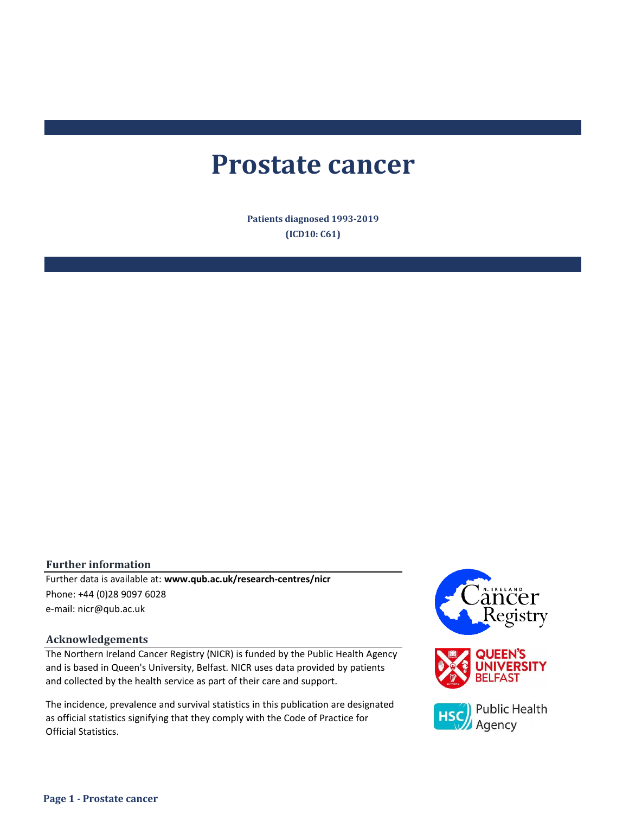# **Prostate cancer**

**Patients diagnosed 1993-2019 (ICD10: C61)**

#### **Further information**

e-mail: nicr@qub.ac.uk Further data is available at: **www.qub.ac.uk/research-centres/nicr** Phone: +44 (0)28 9097 6028

#### **Acknowledgements**

The Northern Ireland Cancer Registry (NICR) is funded by the Public Health Agency and is based in Queen's University, Belfast. NICR uses data provided by patients and collected by the health service as part of their care and support.

The incidence, prevalence and survival statistics in this publication are designated as official statistics signifying that they comply with the Code of Practice for Official Statistics.

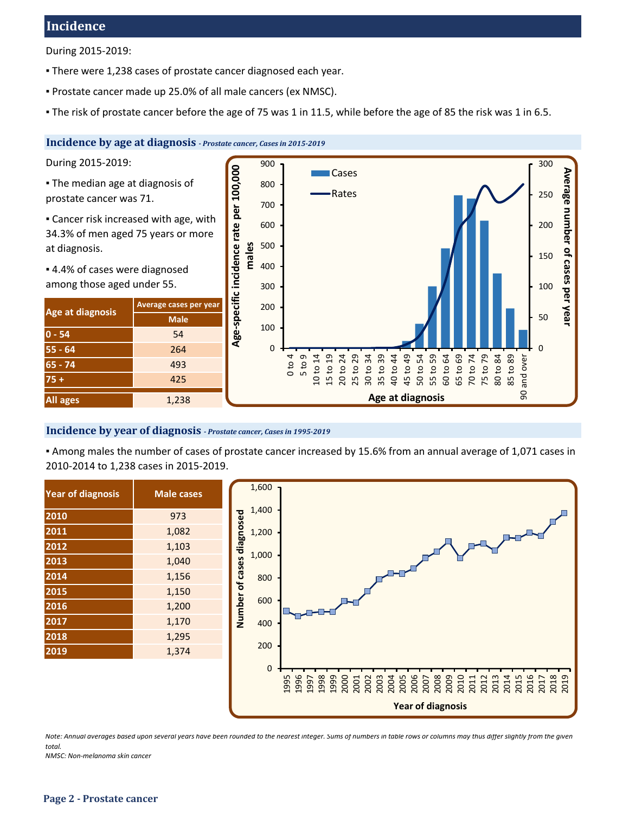# **Incidence**

During 2015-2019:

- **There were 1,238 cases of prostate cancer diagnosed each year.**
- Prostate cancer made up 25.0% of all male cancers (ex NMSC).
- The risk of prostate cancer before the age of 75 was 1 in 11.5, while before the age of 85 the risk was 1 in 6.5.

# **Incidence by age at diagnosis** *- Prostate cancer, Cases in 2015-2019*

During 2015-2019:

- **The median age at diagnosis of** prostate cancer was 71.
- **Example 2** Cancer risk increased with age, with 34.3% of men aged 75 years or more at diagnosis.
- 4.4% of cases were diagnosed among those aged under 55.

| Age at diagnosis | Average cases per year |  |  |  |  |
|------------------|------------------------|--|--|--|--|
|                  | <b>Male</b>            |  |  |  |  |
| $0 - 54$         | 54                     |  |  |  |  |
| $55 - 64$        | 264                    |  |  |  |  |
| $65 - 74$        | 493                    |  |  |  |  |
| $75 +$           | 425                    |  |  |  |  |
| <b>All ages</b>  | 1,238                  |  |  |  |  |



#### **Incidence by year of diagnosis** *- Prostate cancer, Cases in 1995-2019*

▪ Among males the number of cases of prostate cancer increased by 15.6% from an annual average of 1,071 cases in 2010-2014 to 1,238 cases in 2015-2019.

| 2010<br>973   |  |
|---------------|--|
| 2011<br>1,082 |  |
| 2012<br>1,103 |  |
| 2013<br>1,040 |  |
| 2014<br>1,156 |  |
| 2015<br>1,150 |  |
| 2016<br>1,200 |  |
| 2017<br>1,170 |  |
| 2018<br>1,295 |  |
| 2019<br>1,374 |  |



*Note: Annual averages based upon several years have been rounded to the nearest integer. Sums of numbers in table rows or columns may thus differ slightly from the given total.*

*NMSC: Non-melanoma skin cancer*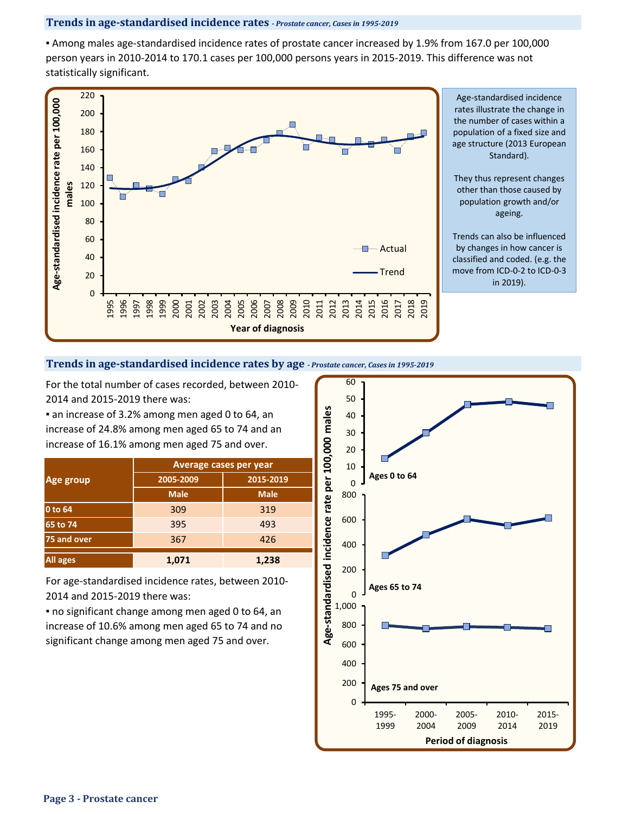## **Trends in age-standardised incidence rates** *- Prostate cancer, Cases in 1995-2019*

▪ Among males age-standardised incidence rates of prostate cancer increased by 1.9% from 167.0 per 100,000 person years in 2010-2014 to 170.1 cases per 100,000 persons years in 2015-2019. This difference was not statistically significant.



#### **Trends in age-standardised incidence rates by age** *- Prostate cancer, Cases in 1995-2019*

For the total number of cases recorded, between 2010- 2014 and 2015-2019 there was:

**a** an increase of 3.2% among men aged 0 to 64, an increase of 24.8% among men aged 65 to 74 and an increase of 16.1% among men aged 75 and over.

|                 | <b>Average cases per year</b> |             |  |  |  |  |
|-----------------|-------------------------------|-------------|--|--|--|--|
| Age group       | 2005-2009                     | 2015-2019   |  |  |  |  |
|                 | <b>Male</b>                   | <b>Male</b> |  |  |  |  |
| 0 to 64         | 309                           | 319         |  |  |  |  |
| 65 to 74        | 395                           | 493         |  |  |  |  |
| 75 and over     | 367                           | 426         |  |  |  |  |
| <b>All ages</b> | 1,071                         | 1,238       |  |  |  |  |

For age-standardised incidence rates, between 2010- 2014 and 2015-2019 there was:

▪ no significant change among men aged 0 to 64, an increase of 10.6% among men aged 65 to 74 and no significant change among men aged 75 and over.

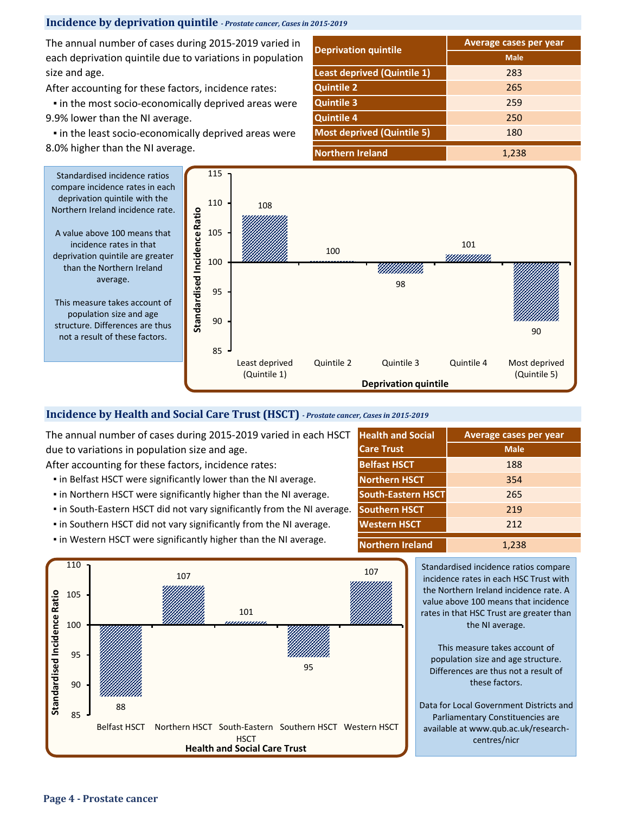# **Incidence by deprivation quintile** *- Prostate cancer, Cases in 2015-2019*

The annual number of cases during 2015-2019 varied in each deprivation quintile due to variations in population size and age.

After accounting for these factors, incidence rates:

**.** in the most socio-economically deprived areas were 9.9% lower than the NI average.

**.** in the least socio-economically deprived areas were 8.0% higher than the NI average.

|                                    | Average cases per year |  |  |  |
|------------------------------------|------------------------|--|--|--|
| <b>Deprivation quintile</b>        | <b>Male</b>            |  |  |  |
| <b>Least deprived (Quintile 1)</b> | 283                    |  |  |  |
| <b>Quintile 2</b>                  | 265                    |  |  |  |
| <b>Quintile 3</b>                  | 259                    |  |  |  |
| <b>Quintile 4</b>                  | 250                    |  |  |  |
| <b>Most deprived (Quintile 5)</b>  | 180                    |  |  |  |
| <b>Northern Ireland</b>            | 1,238                  |  |  |  |



# **Incidence by Health and Social Care Trust (HSCT)** *- Prostate cancer, Cases in 2015-2019*

The annual number of cases during 2015-2019 varied in each HSCT due to variations in population size and age.

After accounting for these factors, incidence rates:

- **.** in Belfast HSCT were significantly lower than the NI average.
- **.** in Northern HSCT were significantly higher than the NI average.
- in South-Eastern HSCT did not vary significantly from the NI average.
- in Southern HSCT did not vary significantly from the NI average.
- **.** in Western HSCT were significantly higher than the NI average.



| <b>Health and Social</b>  | Average cases per year |
|---------------------------|------------------------|
| <b>Care Trust</b>         | <b>Male</b>            |
| <b>Belfast HSCT</b>       | 188                    |
| <b>Northern HSCT</b>      | 354                    |
| <b>South-Eastern HSCT</b> | 265                    |
| <b>Southern HSCT</b>      | 219                    |
| <b>Western HSCT</b>       | 212                    |
| <b>Northern Ireland</b>   | 1.238                  |

Standardised incidence ratios compare incidence rates in each HSC Trust with the Northern Ireland incidence rate. A value above 100 means that incidence rates in that HSC Trust are greater than the NI average.

This measure takes account of population size and age structure. Differences are thus not a result of these factors.

Data for Local Government Districts and Parliamentary Constituencies are available at www.qub.ac.uk/researchcentres/nicr

A value above 100 means that incidence rates in that deprivation quintile are greater than the Northern Ireland

population size and age structure. Differences are thus not a result of these factors.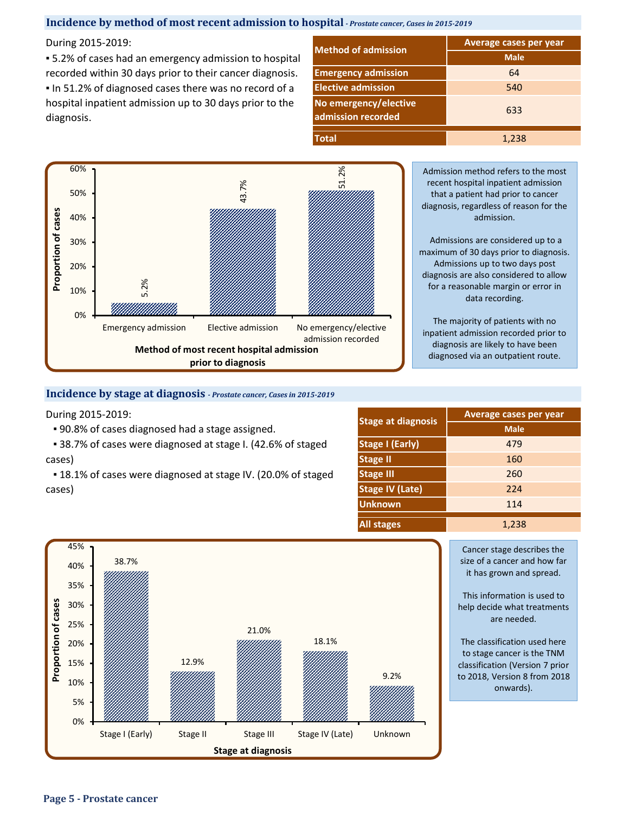# **Incidence by method of most recent admission to hospital** *- Prostate cancer, Cases in 2015-2019*

#### During 2015-2019:

■ 5.2% of cases had an emergency admission to hospital recorded within 30 days prior to their cancer diagnosis. ▪ In 51.2% of diagnosed cases there was no record of a hospital inpatient admission up to 30 days prior to the diagnosis.

| <b>Method of admission</b>                  | <b>Average cases per year</b> |  |  |  |  |
|---------------------------------------------|-------------------------------|--|--|--|--|
|                                             | <b>Male</b>                   |  |  |  |  |
| <b>Emergency admission</b>                  | 64                            |  |  |  |  |
| <b>Elective admission</b>                   | 540                           |  |  |  |  |
| No emergency/elective<br>admission recorded | 633                           |  |  |  |  |
| <b>Total</b>                                | 1,238                         |  |  |  |  |



Admission method refers to the most recent hospital inpatient admission that a patient had prior to cancer diagnosis, regardless of reason for the admission.

Admissions are considered up to a maximum of 30 days prior to diagnosis. Admissions up to two days post diagnosis are also considered to allow for a reasonable margin or error in data recording.

The majority of patients with no inpatient admission recorded prior to diagnosis are likely to have been diagnosed via an outpatient route.

#### **Incidence by stage at diagnosis** *- Prostate cancer, Cases in 2015-2019*

During 2015-2019:

▪ 90.8% of cases diagnosed had a stage assigned.

■ 38.7% of cases were diagnosed at stage I. (42.6% of staged cases)

■ 18.1% of cases were diagnosed at stage IV. (20.0% of staged cases)

|                           | Average cases per year |  |  |  |  |
|---------------------------|------------------------|--|--|--|--|
| <b>Stage at diagnosis</b> | <b>Male</b>            |  |  |  |  |
| <b>Stage I (Early)</b>    | 479                    |  |  |  |  |
| <b>Stage II</b>           | 160                    |  |  |  |  |
| <b>Stage III</b>          | 260                    |  |  |  |  |
| <b>Stage IV (Late)</b>    | 224                    |  |  |  |  |
| <b>Unknown</b>            | 114                    |  |  |  |  |
| <b>All stages</b>         | 1,238                  |  |  |  |  |



Cancer stage describes the size of a cancer and how far it has grown and spread.

This information is used to help decide what treatments are needed.

The classification used here to stage cancer is the TNM classification (Version 7 prior to 2018, Version 8 from 2018 onwards).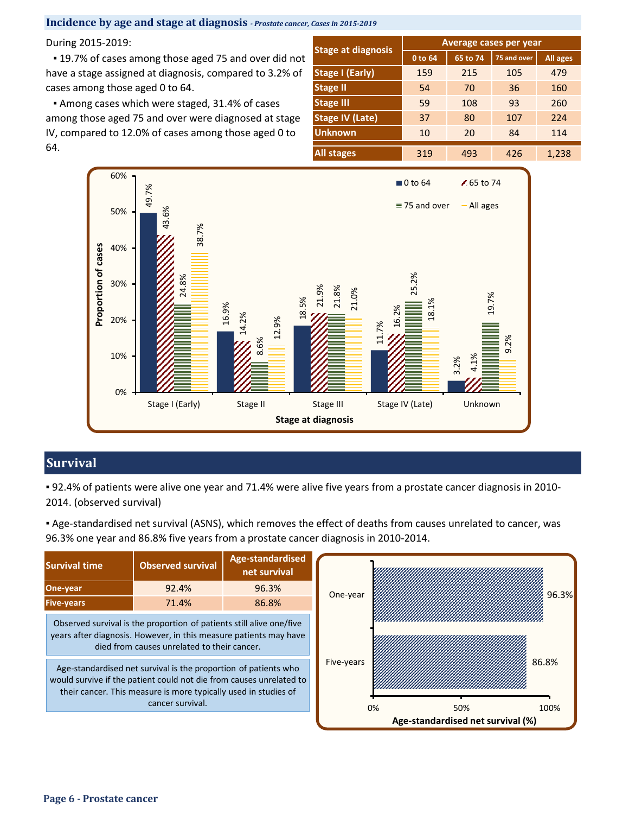**Incidence by age and stage at diagnosis** *- Prostate cancer, Cases in 2015-2019*

During 2015-2019: **Average cases per year**

■ 19.7% of cases among those aged 75 and over did not have a stage assigned at diagnosis, compared to 3.2% of cases among those aged 0 to 64.

**Among cases which were staged, 31.4% of cases** among those aged 75 and over were diagnosed at stage IV, compared to 12.0% of cases among those aged 0 to 64.

|                           | Average cases per year |          |             |          |  |  |  |
|---------------------------|------------------------|----------|-------------|----------|--|--|--|
| <b>Stage at diagnosis</b> | 0 to 64                | 65 to 74 | 75 and over | All ages |  |  |  |
| <b>Stage I (Early)</b>    | 159                    | 215      | 105         | 479      |  |  |  |
| <b>Stage II</b>           | 54                     | 70       | 36          | 160      |  |  |  |
| <b>Stage III</b>          | 59                     | 108      | 93          | 260      |  |  |  |
| <b>Stage IV (Late)</b>    | 37                     | 80       | 107         | 224      |  |  |  |
| <b>Unknown</b>            | 10                     | 20       | 84          | 114      |  |  |  |
| All stages                | 319                    | 493      | 426         | 1,238    |  |  |  |



# **Survival**

▪ 92.4% of patients were alive one year and 71.4% were alive five years from a prostate cancer diagnosis in 2010- 2014. (observed survival)

▪ Age-standardised net survival (ASNS), which removes the effect of deaths from causes unrelated to cancer, was 96.3% one year and 86.8% five years from a prostate cancer diagnosis in 2010-2014.

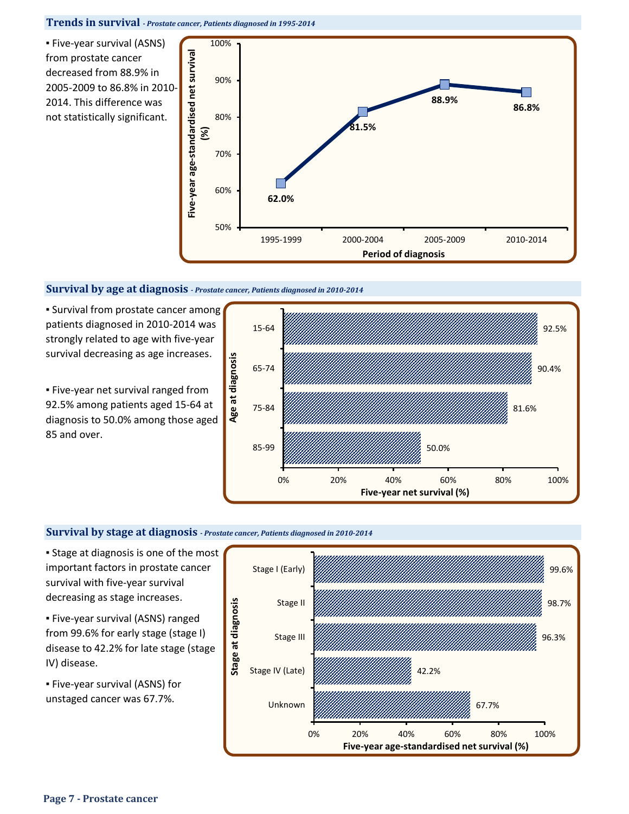**Trends in survival** *- Prostate cancer, Patients diagnosed in 1995-2014*

▪ Five-year survival (ASNS) from prostate cancer decreased from 88.9% in 2005-2009 to 86.8% in 2010- 2014. This difference was not statistically significant.



## **Survival by age at diagnosis** *- Prostate cancer, Patients diagnosed in 2010-2014*

**E** Survival from prostate cancer among patients diagnosed in 2010-2014 was strongly related to age with five-year survival decreasing as age increases.

**Eive-year net survival ranged from** 92.5% among patients aged 15-64 at diagnosis to 50.0% among those aged 85 and over.



## **Survival by stage at diagnosis** *- Prostate cancer, Patients diagnosed in 2010-2014*

**Stage at diagnosis is one of the most** important factors in prostate cancer survival with five-year survival decreasing as stage increases.

▪ Five-year survival (ASNS) ranged from 99.6% for early stage (stage I) disease to 42.2% for late stage (stage IV) disease.

▪ Five-year survival (ASNS) for unstaged cancer was 67.7%.

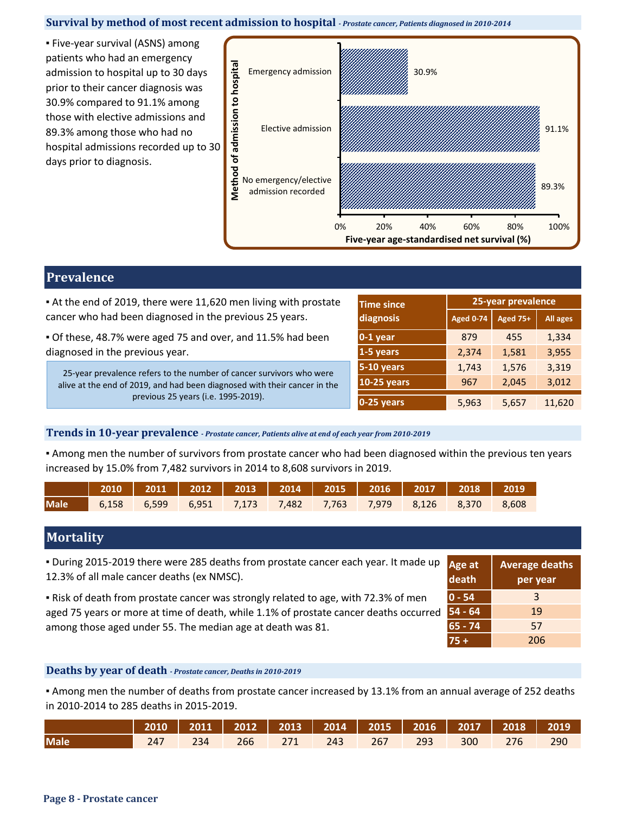### **Survival by method of most recent admission to hospital** *- Prostate cancer, Patients diagnosed in 2010-2014*

**Eive-year survival (ASNS) among** patients who had an emergency admission to hospital up to 30 days prior to their cancer diagnosis was 30.9% compared to 91.1% among those with elective admissions and 89.3% among those who had no hospital admissions recorded up to 30 days prior to diagnosis.



# **Prevalence**

| At the end of 2019, there were 11,620 men living with prostate | Time since | 25-year prevalence                         |          |
|----------------------------------------------------------------|------------|--------------------------------------------|----------|
| cancer who had been diagnosed in the previous 25 years.        | diagnosis  | $\vert$ Aged 0-74 $\vert$ Aged 75+ $\vert$ | All ages |

▪ Of these, 48.7% were aged 75 and over, and 11.5% had been diagnosed in the previous year.

25-year prevalence refers to the number of cancer survivors who were alive at the end of 2019, and had been diagnosed with their cancer in the previous 25 years (i.e. 1995-2019).

| <b>Time since</b>  | 25-year prevalence |                 |                 |  |  |  |
|--------------------|--------------------|-----------------|-----------------|--|--|--|
| diagnosis          | <b>Aged 0-74</b>   | <b>Aged 75+</b> | <b>All ages</b> |  |  |  |
| $0-1$ year         | 879                | 455             | 1,334           |  |  |  |
| 1-5 years          | 2,374              | 1,581           | 3,955           |  |  |  |
| 5-10 years         | 1,743              | 1,576           | 3,319           |  |  |  |
| <b>10-25 years</b> | 967                | 2,045           | 3,012           |  |  |  |
| $0-25$ years       | 5,963              | 5,657           | 11,620          |  |  |  |

#### **Trends in 10-year prevalence** *- Prostate cancer, Patients alive at end of each year from 2010-2019*

▪ Among men the number of survivors from prostate cancer who had been diagnosed within the previous ten years increased by 15.0% from 7,482 survivors in 2014 to 8,608 survivors in 2019.

| 2010   2011   2012   2013   2014   2015   2016   2017   2018   2019 |  |  |  |  |  |
|---------------------------------------------------------------------|--|--|--|--|--|
| Male 6,158 6,599 6,951 7,173 7,482 7,763 7,979 8,126 8,370 8,608    |  |  |  |  |  |

# **Mortality**

▪ During 2015-2019 there were 285 deaths from prostate cancer each year. It made up 12.3% of all male cancer deaths (ex NMSC).

▪ Risk of death from prostate cancer was strongly related to age, with 72.3% of men aged 75 years or more at time of death, while 1.1% of prostate cancer deaths occurred among those aged under 55. The median age at death was 81.

| Age at<br>death | <b>Average deaths</b><br>per year |
|-----------------|-----------------------------------|
| $ 0 - 54 $      | 3                                 |
| $54 - 64$       | 19                                |
| $65 - 74$       | 57                                |
| $75 +$          | 206                               |

## **Deaths by year of death** *- Prostate cancer, Deaths in 2010-2019*

▪ Among men the number of deaths from prostate cancer increased by 13.1% from an annual average of 252 deaths in 2010-2014 to 285 deaths in 2015-2019.

|             |  |  | 2010   2011   2012   2013   2014   2015   2016   2017   2018   2019 |  |  |  |
|-------------|--|--|---------------------------------------------------------------------|--|--|--|
| <b>Male</b> |  |  |                                                                     |  |  |  |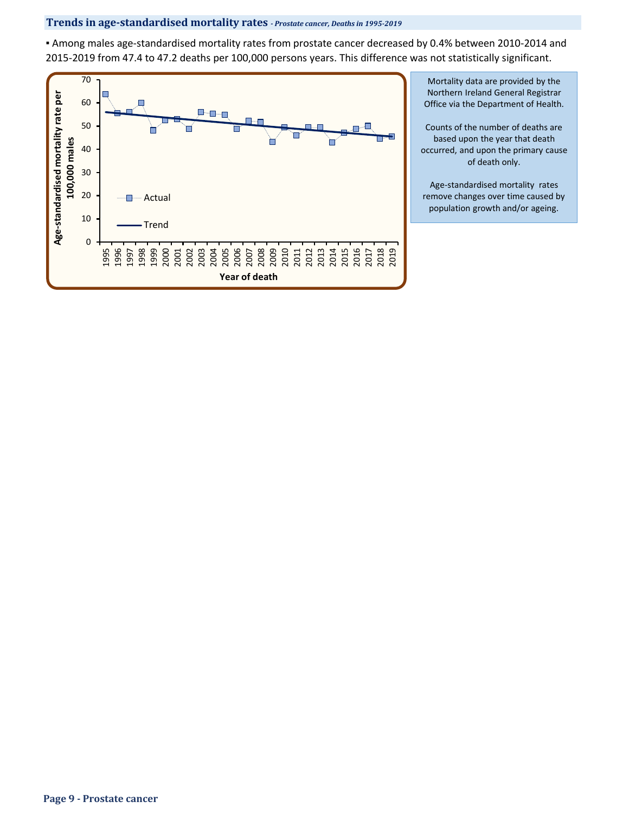## **Trends in age-standardised mortality rates** *- Prostate cancer, Deaths in 1995-2019*

▪ Among males age-standardised mortality rates from prostate cancer decreased by 0.4% between 2010-2014 and 2015-2019 from 47.4 to 47.2 deaths per 100,000 persons years. This difference was not statistically significant.



Mortality data are provided by the Northern Ireland General Registrar Office via the Department of Health.

Counts of the number of deaths are based upon the year that death occurred, and upon the primary cause of death only.

Age-standardised mortality rates remove changes over time caused by population growth and/or ageing.